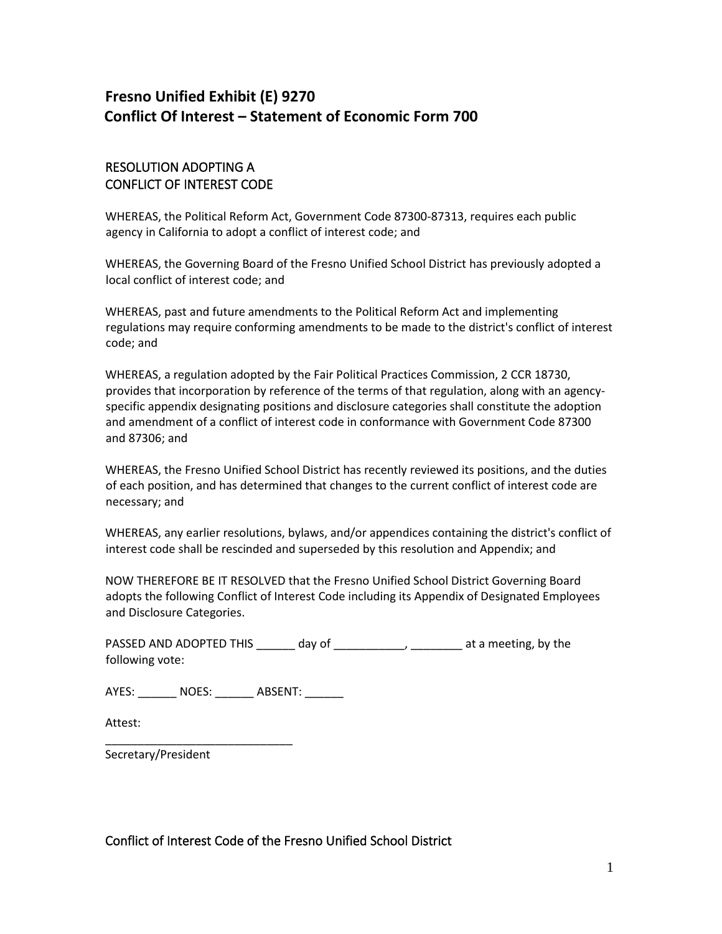# **Fresno Unified Exhibit (E) 9270 Conflict Of Interest – Statement of Economic Form 700**

# RESOLUTION ADOPTING A CONFLICT OF INTEREST CODE

WHEREAS, the Political Reform Act, Government Code 87300-87313, requires each public agency in California to adopt a conflict of interest code; and

WHEREAS, the Governing Board of the Fresno Unified School District has previously adopted a local conflict of interest code; and

WHEREAS, past and future amendments to the Political Reform Act and implementing regulations may require conforming amendments to be made to the district's conflict of interest code; and

WHEREAS, a regulation adopted by the Fair Political Practices Commission, 2 CCR 18730, provides that incorporation by reference of the terms of that regulation, along with an agencyspecific appendix designating positions and disclosure categories shall constitute the adoption and amendment of a conflict of interest code in conformance with Government Code 87300 and 87306; and

WHEREAS, the Fresno Unified School District has recently reviewed its positions, and the duties of each position, and has determined that changes to the current conflict of interest code are necessary; and

WHEREAS, any earlier resolutions, bylaws, and/or appendices containing the district's conflict of interest code shall be rescinded and superseded by this resolution and Appendix; and

NOW THEREFORE BE IT RESOLVED that the Fresno Unified School District Governing Board adopts the following Conflict of Interest Code including its Appendix of Designated Employees and Disclosure Categories.

PASSED AND ADOPTED THIS \_\_\_\_\_\_ day of \_\_\_\_\_\_\_\_\_\_, \_\_\_\_\_\_\_ at a meeting, by the following vote:

AYES: \_\_\_\_\_\_\_\_ NOES: \_\_\_\_\_\_\_ ABSENT: \_\_\_\_\_\_\_

\_\_\_\_\_\_\_\_\_\_\_\_\_\_\_\_\_\_\_\_\_\_\_\_\_\_\_\_\_

Attest:

Secretary/President

Conflict of Interest Code of the Fresno Unified School District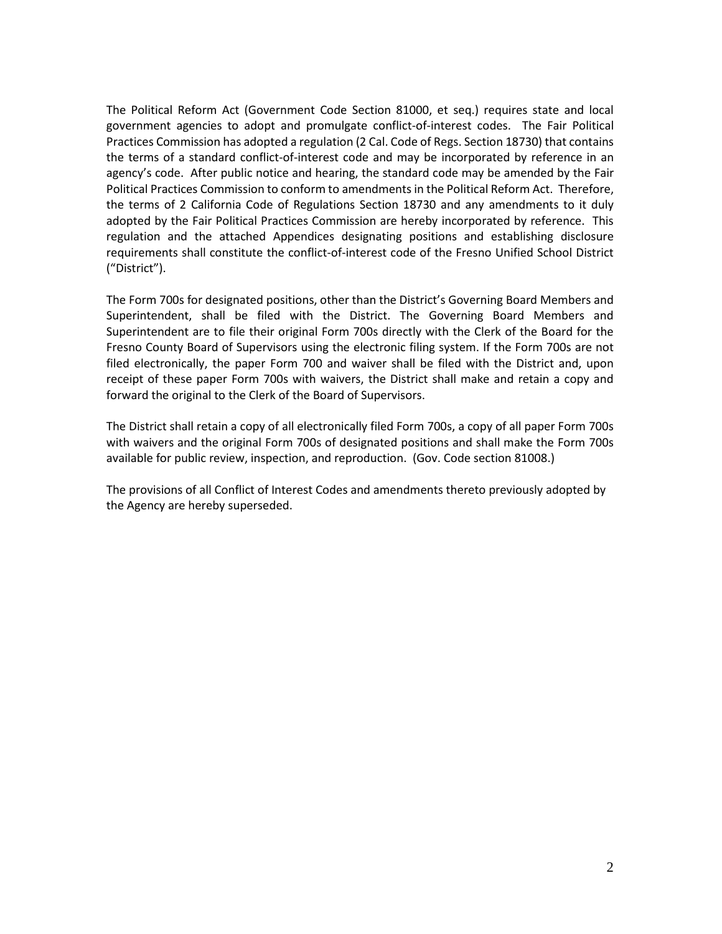The Political Reform Act (Government Code Section 81000, et seq.) requires state and local government agencies to adopt and promulgate conflict-of-interest codes. The Fair Political Practices Commission has adopted a regulation (2 Cal. Code of Regs. Section 18730) that contains the terms of a standard conflict-of-interest code and may be incorporated by reference in an agency's code. After public notice and hearing, the standard code may be amended by the Fair Political Practices Commission to conform to amendments in the Political Reform Act. Therefore, the terms of 2 California Code of Regulations Section 18730 and any amendments to it duly adopted by the Fair Political Practices Commission are hereby incorporated by reference. This regulation and the attached Appendices designating positions and establishing disclosure requirements shall constitute the conflict-of-interest code of the Fresno Unified School District ("District").

The Form 700s for designated positions, other than the District's Governing Board Members and Superintendent, shall be filed with the District. The Governing Board Members and Superintendent are to file their original Form 700s directly with the Clerk of the Board for the Fresno County Board of Supervisors using the electronic filing system. If the Form 700s are not filed electronically, the paper Form 700 and waiver shall be filed with the District and, upon receipt of these paper Form 700s with waivers, the District shall make and retain a copy and forward the original to the Clerk of the Board of Supervisors.

The District shall retain a copy of all electronically filed Form 700s, a copy of all paper Form 700s with waivers and the original Form 700s of designated positions and shall make the Form 700s available for public review, inspection, and reproduction. (Gov. Code section 81008.)

The provisions of all Conflict of Interest Codes and amendments thereto previously adopted by the Agency are hereby superseded.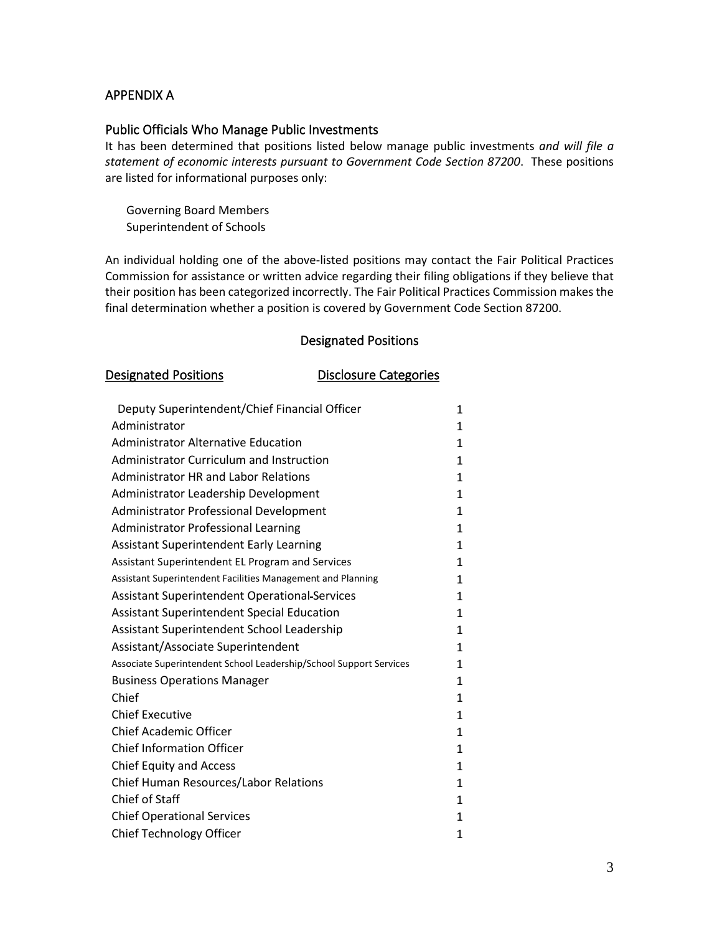# APPENDIX A

#### Public Officials Who Manage Public Investments

It has been determined that positions listed below manage public investments *and will file a statement of economic interests pursuant to Government Code Section 87200*. These positions are listed for informational purposes only:

Governing Board Members Superintendent of Schools

An individual holding one of the above-listed positions may contact the Fair Political Practices Commission for assistance or written advice regarding their filing obligations if they believe that their position has been categorized incorrectly. The Fair Political Practices Commission makes the final determination whether a position is covered by Government Code Section 87200.

#### Designated Positions

#### Designated Positions **Disclosure Categories**

| Deputy Superintendent/Chief Financial Officer                      | 1            |
|--------------------------------------------------------------------|--------------|
| Administrator                                                      | 1            |
| <b>Administrator Alternative Education</b>                         | 1            |
| Administrator Curriculum and Instruction                           | 1            |
| <b>Administrator HR and Labor Relations</b>                        | $\mathbf{1}$ |
| Administrator Leadership Development                               | 1            |
| Administrator Professional Development                             | 1            |
| <b>Administrator Professional Learning</b>                         | $\mathbf{1}$ |
| <b>Assistant Superintendent Early Learning</b>                     | 1            |
| Assistant Superintendent EL Program and Services                   | 1            |
| Assistant Superintendent Facilities Management and Planning        | 1            |
| <b>Assistant Superintendent Operational Services</b>               | $\mathbf{1}$ |
| <b>Assistant Superintendent Special Education</b>                  | $\mathbf{1}$ |
| Assistant Superintendent School Leadership                         | $\mathbf{1}$ |
| Assistant/Associate Superintendent                                 | $\mathbf{1}$ |
| Associate Superintendent School Leadership/School Support Services | $\mathbf{1}$ |
| <b>Business Operations Manager</b>                                 | $\mathbf{1}$ |
| Chief                                                              | $\mathbf{1}$ |
| <b>Chief Executive</b>                                             | 1            |
| <b>Chief Academic Officer</b>                                      | 1            |
| <b>Chief Information Officer</b>                                   | 1            |
| <b>Chief Equity and Access</b>                                     | 1            |
| Chief Human Resources/Labor Relations                              | 1            |
| Chief of Staff                                                     | $\mathbf{1}$ |
| <b>Chief Operational Services</b>                                  | 1            |
| Chief Technology Officer                                           | 1            |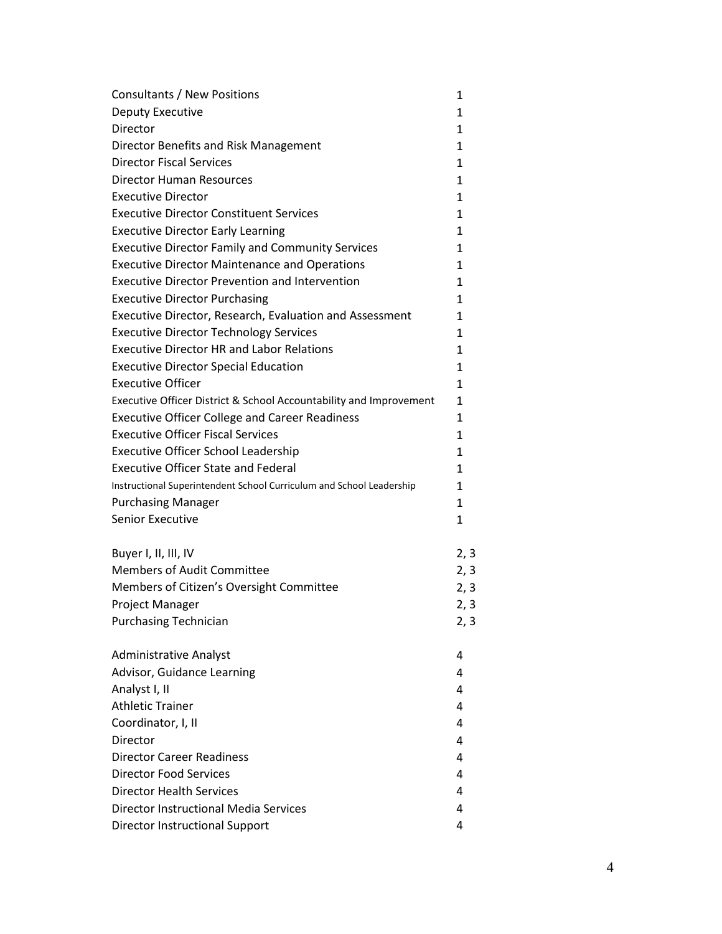| Consultants / New Positions                                          | 1            |
|----------------------------------------------------------------------|--------------|
| Deputy Executive                                                     | $\mathbf{1}$ |
| Director                                                             | 1            |
| Director Benefits and Risk Management                                | $\mathbf{1}$ |
| <b>Director Fiscal Services</b>                                      | 1            |
| <b>Director Human Resources</b>                                      | 1            |
| <b>Executive Director</b>                                            | $\mathbf{1}$ |
| <b>Executive Director Constituent Services</b>                       | 1            |
| <b>Executive Director Early Learning</b>                             | $\mathbf{1}$ |
| <b>Executive Director Family and Community Services</b>              | 1            |
| <b>Executive Director Maintenance and Operations</b>                 | 1            |
| <b>Executive Director Prevention and Intervention</b>                | $\mathbf{1}$ |
| <b>Executive Director Purchasing</b>                                 | 1            |
| Executive Director, Research, Evaluation and Assessment              | 1            |
| <b>Executive Director Technology Services</b>                        | 1            |
| <b>Executive Director HR and Labor Relations</b>                     | 1            |
| <b>Executive Director Special Education</b>                          | $\mathbf{1}$ |
| <b>Executive Officer</b>                                             | 1            |
| Executive Officer District & School Accountability and Improvement   | $\mathbf{1}$ |
| <b>Executive Officer College and Career Readiness</b>                | 1            |
| <b>Executive Officer Fiscal Services</b>                             | 1            |
| <b>Executive Officer School Leadership</b>                           | $\mathbf{1}$ |
| <b>Executive Officer State and Federal</b>                           | 1            |
| Instructional Superintendent School Curriculum and School Leadership | 1            |
| <b>Purchasing Manager</b>                                            | 1            |
| Senior Executive                                                     | $\mathbf{1}$ |
|                                                                      |              |
| Buyer I, II, III, IV                                                 | 2, 3         |
| <b>Members of Audit Committee</b>                                    | 2, 3         |
| Members of Citizen's Oversight Committee                             | 2, 3         |
| Project Manager                                                      | 2, 3         |
| <b>Purchasing Technician</b>                                         | 2, 3         |
| <b>Administrative Analyst</b>                                        | 4            |
| Advisor, Guidance Learning                                           | 4            |
| Analyst I, II                                                        | 4            |
| <b>Athletic Trainer</b>                                              | 4            |
| Coordinator, I, II                                                   | 4            |
| Director                                                             | 4            |
| <b>Director Career Readiness</b>                                     | 4            |
| <b>Director Food Services</b>                                        | 4            |
| <b>Director Health Services</b>                                      | 4            |
| <b>Director Instructional Media Services</b>                         | 4            |
| <b>Director Instructional Support</b>                                | 4            |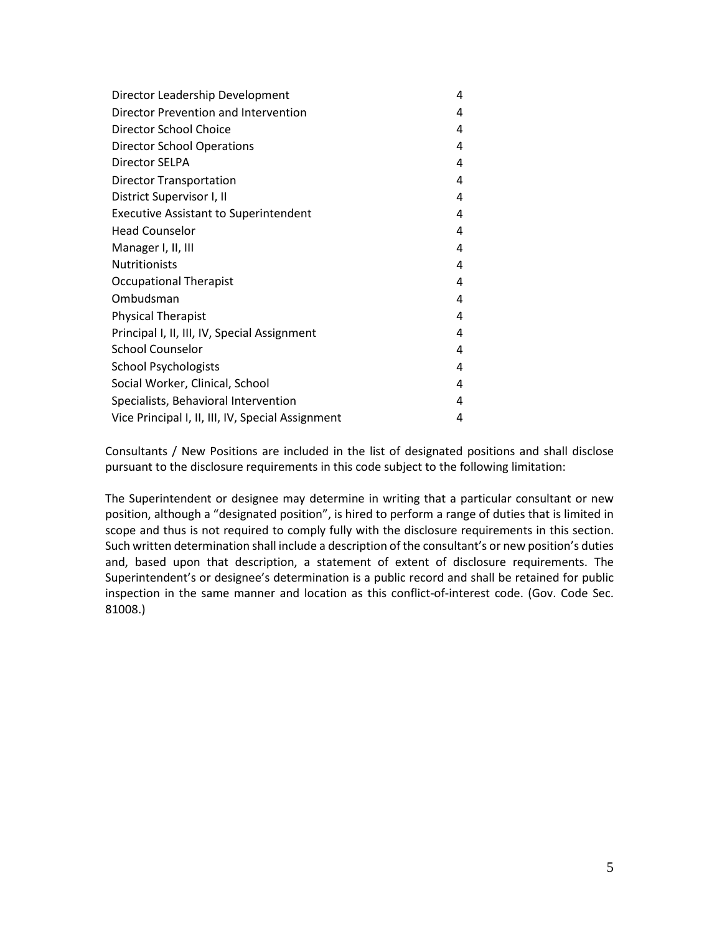| Director Leadership Development                   | 4 |
|---------------------------------------------------|---|
| Director Prevention and Intervention              | 4 |
| Director School Choice                            | 4 |
| <b>Director School Operations</b>                 | 4 |
| Director SELPA                                    | 4 |
| <b>Director Transportation</b>                    | 4 |
| District Supervisor I, II                         | 4 |
| <b>Executive Assistant to Superintendent</b>      | 4 |
| <b>Head Counselor</b>                             | 4 |
| Manager I, II, III                                | 4 |
| <b>Nutritionists</b>                              | 4 |
| <b>Occupational Therapist</b>                     | 4 |
| Ombudsman                                         | 4 |
| <b>Physical Therapist</b>                         | 4 |
| Principal I, II, III, IV, Special Assignment      | 4 |
| <b>School Counselor</b>                           | 4 |
| <b>School Psychologists</b>                       | 4 |
| Social Worker, Clinical, School                   | 4 |
| Specialists, Behavioral Intervention              | 4 |
| Vice Principal I, II, III, IV, Special Assignment | 4 |

Consultants / New Positions are included in the list of designated positions and shall disclose pursuant to the disclosure requirements in this code subject to the following limitation:

The Superintendent or designee may determine in writing that a particular consultant or new position, although a "designated position", is hired to perform a range of duties that is limited in scope and thus is not required to comply fully with the disclosure requirements in this section. Such written determination shall include a description of the consultant's or new position's duties and, based upon that description, a statement of extent of disclosure requirements. The Superintendent's or designee's determination is a public record and shall be retained for public inspection in the same manner and location as this conflict-of-interest code. (Gov. Code Sec. 81008.)